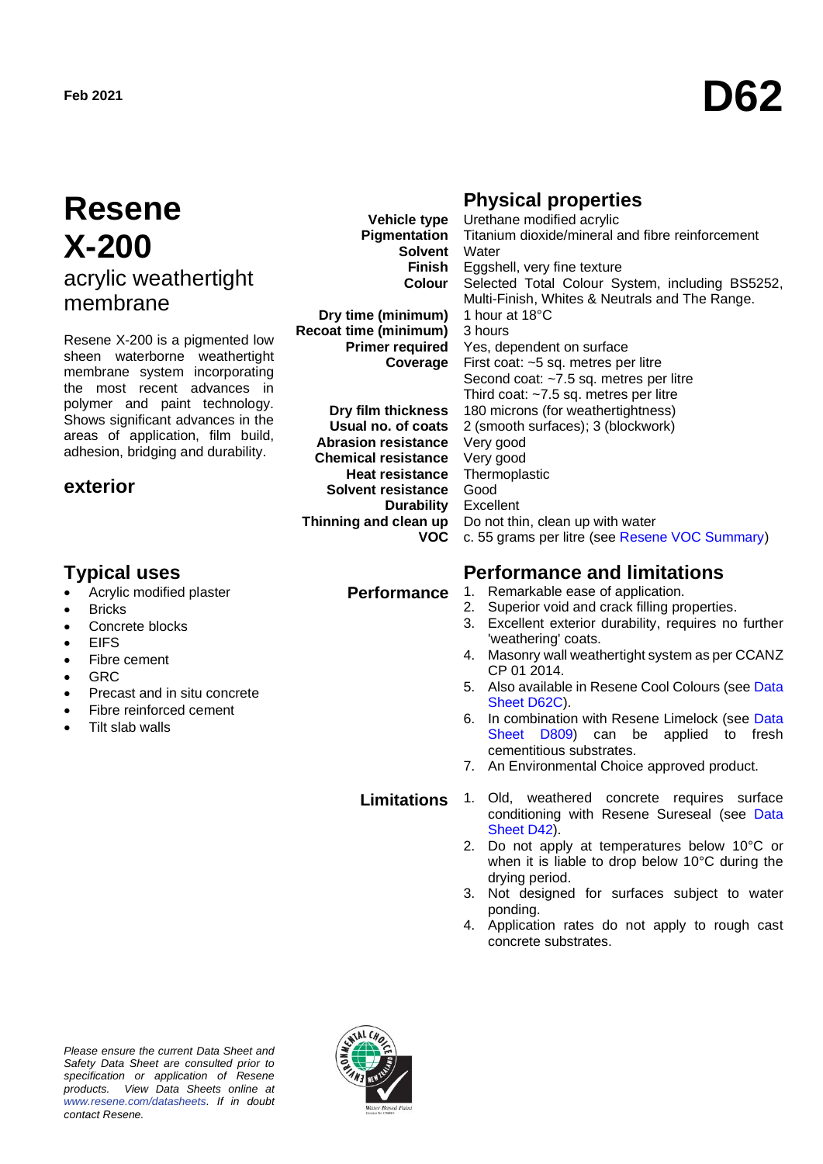# **Resene X-200** acrylic weathertight membrane

Resene X-200 is a pigmented low sheen waterborne weathertight membrane system incorporating the most recent advances in polymer and paint technology. Shows significant advances in the areas of application, film build, adhesion, bridging and durability.

### **exterior**

# **Typical uses Performance and limitations**

- Acrylic modified plaster
- **Bricks**
- Concrete blocks
- **EIFS**
- Fibre cement
- GRC
- Precast and in situ concrete
- Fibre reinforced cement
- Tilt slab walls

**Vehicle type Pigmentation Solvent Finish Colour**

**Dry time (minimum) Recoat time (minimum) Primer required Coverage**

**Dry film thickness Usual no. of coats Abrasion resistance Chemical resistance Heat resistance Solvent resistance Durability Thinning and clean up VOC**

## **Physical properties**

Urethane modified acrylic Titanium dioxide/mineral and fibre reinforcement **Water** Eggshell, very fine texture Selected Total Colour System, including BS5252, Multi-Finish, Whites & Neutrals and The Range. 1 hour at 18°C 3 hours Yes, dependent on surface First coat: ~5 sq. metres per litre Second coat: ~7.5 sq. metres per litre Third coat: ~7.5 sq. metres per litre 180 microns (for weathertightness) 2 (smooth surfaces); 3 (blockwork) Very good Very good **Thermoplastic** Good Excellent Do not thin, clean up with water c. 55 grams per litre (see Resene VOC Summary)

#### **Performance** 1. Remarkable ease of application.

- 2. Superior void and crack filling properties.
- 3. Excellent exterior durability, requires no further 'weathering' coats.
- 4. Masonry wall weathertight system as per CCANZ CP 01 2014.
- 5. Also available in Resene Cool Colours (see Data Sheet D62C).
- 6. In combination with Resene Limelock (see Data Sheet D809) can be applied to fresh cementitious substrates.
- 7. An Environmental Choice approved product.

- **Limitations** 1. Old, weathered concrete requires surface conditioning with Resene Sureseal (see Data Sheet D42).
	- 2. Do not apply at temperatures below 10°C or when it is liable to drop below 10°C during the drying period.
	- 3. Not designed for surfaces subject to water ponding.
	- 4. Application rates do not apply to rough cast concrete substrates.